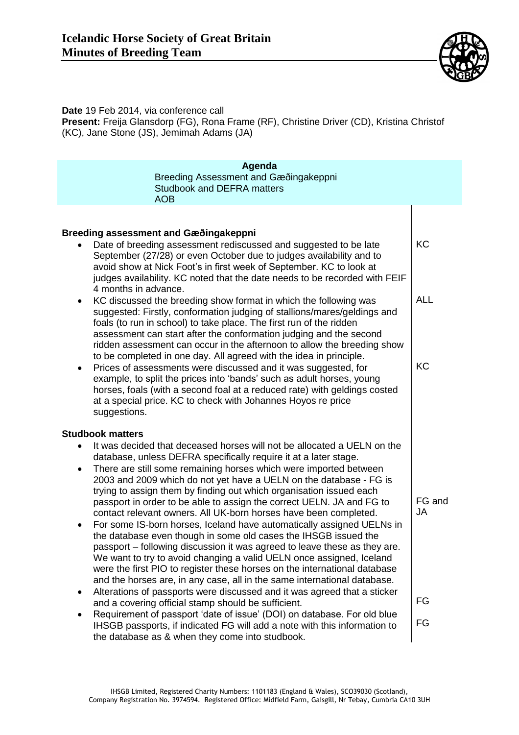

**Date** 19 Feb 2014, via conference call **Present:** Freija Glansdorp (FG), Rona Frame (RF), Christine Driver (CD), Kristina Christof (KC), Jane Stone (JS), Jemimah Adams (JA)

| Agenda                                                                                                                                                                                                                                                                                                                                                                                                                                                                                                                                                                                                                                                                                                                                                                                                                                                                                                                                                                    |                     |  |
|---------------------------------------------------------------------------------------------------------------------------------------------------------------------------------------------------------------------------------------------------------------------------------------------------------------------------------------------------------------------------------------------------------------------------------------------------------------------------------------------------------------------------------------------------------------------------------------------------------------------------------------------------------------------------------------------------------------------------------------------------------------------------------------------------------------------------------------------------------------------------------------------------------------------------------------------------------------------------|---------------------|--|
| Breeding Assessment and Gæðingakeppni                                                                                                                                                                                                                                                                                                                                                                                                                                                                                                                                                                                                                                                                                                                                                                                                                                                                                                                                     |                     |  |
| <b>Studbook and DEFRA matters</b>                                                                                                                                                                                                                                                                                                                                                                                                                                                                                                                                                                                                                                                                                                                                                                                                                                                                                                                                         |                     |  |
| <b>AOB</b>                                                                                                                                                                                                                                                                                                                                                                                                                                                                                                                                                                                                                                                                                                                                                                                                                                                                                                                                                                |                     |  |
|                                                                                                                                                                                                                                                                                                                                                                                                                                                                                                                                                                                                                                                                                                                                                                                                                                                                                                                                                                           |                     |  |
| Breeding assessment and Gæðingakeppni                                                                                                                                                                                                                                                                                                                                                                                                                                                                                                                                                                                                                                                                                                                                                                                                                                                                                                                                     |                     |  |
| Date of breeding assessment rediscussed and suggested to be late<br>September (27/28) or even October due to judges availability and to<br>avoid show at Nick Foot's in first week of September. KC to look at<br>judges availability. KC noted that the date needs to be recorded with FEIF<br>4 months in advance.                                                                                                                                                                                                                                                                                                                                                                                                                                                                                                                                                                                                                                                      | KC                  |  |
| KC discussed the breeding show format in which the following was<br>suggested: Firstly, conformation judging of stallions/mares/geldings and<br>foals (to run in school) to take place. The first run of the ridden<br>assessment can start after the conformation judging and the second<br>ridden assessment can occur in the afternoon to allow the breeding show                                                                                                                                                                                                                                                                                                                                                                                                                                                                                                                                                                                                      | <b>ALL</b>          |  |
| to be completed in one day. All agreed with the idea in principle.<br>Prices of assessments were discussed and it was suggested, for<br>example, to split the prices into 'bands' such as adult horses, young<br>horses, foals (with a second foal at a reduced rate) with geldings costed<br>at a special price. KC to check with Johannes Hoyos re price<br>suggestions.                                                                                                                                                                                                                                                                                                                                                                                                                                                                                                                                                                                                | <b>KC</b>           |  |
| <b>Studbook matters</b>                                                                                                                                                                                                                                                                                                                                                                                                                                                                                                                                                                                                                                                                                                                                                                                                                                                                                                                                                   |                     |  |
| It was decided that deceased horses will not be allocated a UELN on the<br>database, unless DEFRA specifically require it at a later stage.<br>There are still some remaining horses which were imported between<br>٠<br>2003 and 2009 which do not yet have a UELN on the database - FG is<br>trying to assign them by finding out which organisation issued each<br>passport in order to be able to assign the correct UELN. JA and FG to<br>contact relevant owners. All UK-born horses have been completed.<br>For some IS-born horses, Iceland have automatically assigned UELNs in<br>the database even though in some old cases the IHSGB issued the<br>passport – following discussion it was agreed to leave these as they are.<br>We want to try to avoid changing a valid UELN once assigned, Iceland<br>were the first PIO to register these horses on the international database<br>and the horses are, in any case, all in the same international database. | FG and<br><b>JA</b> |  |
| Alterations of passports were discussed and it was agreed that a sticker<br>and a covering official stamp should be sufficient.                                                                                                                                                                                                                                                                                                                                                                                                                                                                                                                                                                                                                                                                                                                                                                                                                                           | FG                  |  |
| Requirement of passport 'date of issue' (DOI) on database. For old blue<br>IHSGB passports, if indicated FG will add a note with this information to<br>the database as & when they come into studbook.                                                                                                                                                                                                                                                                                                                                                                                                                                                                                                                                                                                                                                                                                                                                                                   | FG                  |  |